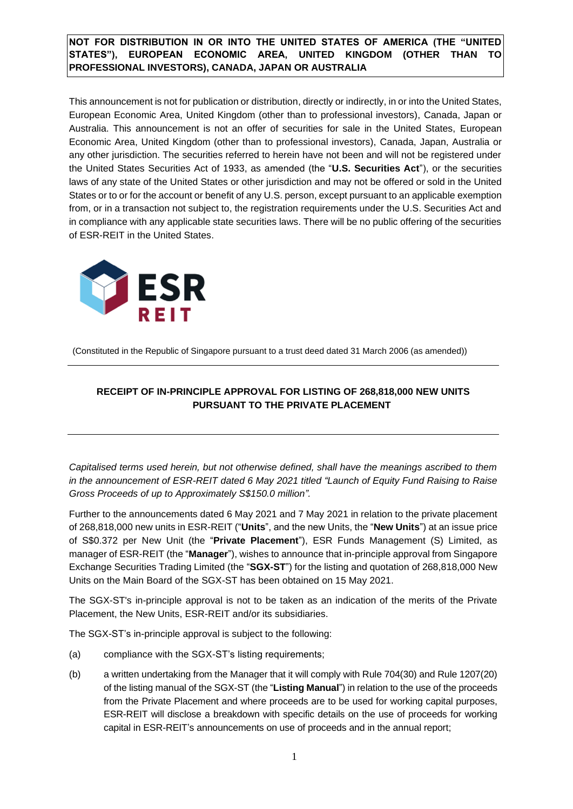# **NOT FOR DISTRIBUTION IN OR INTO THE UNITED STATES OF AMERICA (THE "UNITED STATES"), EUROPEAN ECONOMIC AREA, UNITED KINGDOM (OTHER THAN TO PROFESSIONAL INVESTORS), CANADA, JAPAN OR AUSTRALIA**

This announcement is not for publication or distribution, directly or indirectly, in or into the United States, European Economic Area, United Kingdom (other than to professional investors), Canada, Japan or Australia. This announcement is not an offer of securities for sale in the United States, European Economic Area, United Kingdom (other than to professional investors), Canada, Japan, Australia or any other jurisdiction. The securities referred to herein have not been and will not be registered under the United States Securities Act of 1933, as amended (the "**U.S. Securities Act**"), or the securities laws of any state of the United States or other jurisdiction and may not be offered or sold in the United States or to or for the account or benefit of any U.S. person, except pursuant to an applicable exemption from, or in a transaction not subject to, the registration requirements under the U.S. Securities Act and in compliance with any applicable state securities laws. There will be no public offering of the securities of ESR-REIT in the United States.



(Constituted in the Republic of Singapore pursuant to a trust deed dated 31 March 2006 (as amended))

# **RECEIPT OF IN-PRINCIPLE APPROVAL FOR LISTING OF 268,818,000 NEW UNITS PURSUANT TO THE PRIVATE PLACEMENT**

*Capitalised terms used herein, but not otherwise defined, shall have the meanings ascribed to them in the announcement of ESR-REIT dated 6 May 2021 titled "Launch of Equity Fund Raising to Raise Gross Proceeds of up to Approximately S\$150.0 million".*

Further to the announcements dated 6 May 2021 and 7 May 2021 in relation to the private placement of 268,818,000 new units in ESR-REIT ("**Units**", and the new Units, the "**New Units**") at an issue price of S\$0.372 per New Unit (the "**Private Placement**"), ESR Funds Management (S) Limited, as manager of ESR-REIT (the "**Manager**"), wishes to announce that in-principle approval from Singapore Exchange Securities Trading Limited (the "**SGX-ST**") for the listing and quotation of 268,818,000 New Units on the Main Board of the SGX-ST has been obtained on 15 May 2021.

The SGX-ST's in-principle approval is not to be taken as an indication of the merits of the Private Placement, the New Units, ESR-REIT and/or its subsidiaries.

The SGX-ST's in-principle approval is subject to the following:

- (a) compliance with the SGX-ST's listing requirements;
- (b) a written undertaking from the Manager that it will comply with Rule 704(30) and Rule 1207(20) of the listing manual of the SGX-ST (the "**Listing Manual**") in relation to the use of the proceeds from the Private Placement and where proceeds are to be used for working capital purposes, ESR-REIT will disclose a breakdown with specific details on the use of proceeds for working capital in ESR-REIT's announcements on use of proceeds and in the annual report;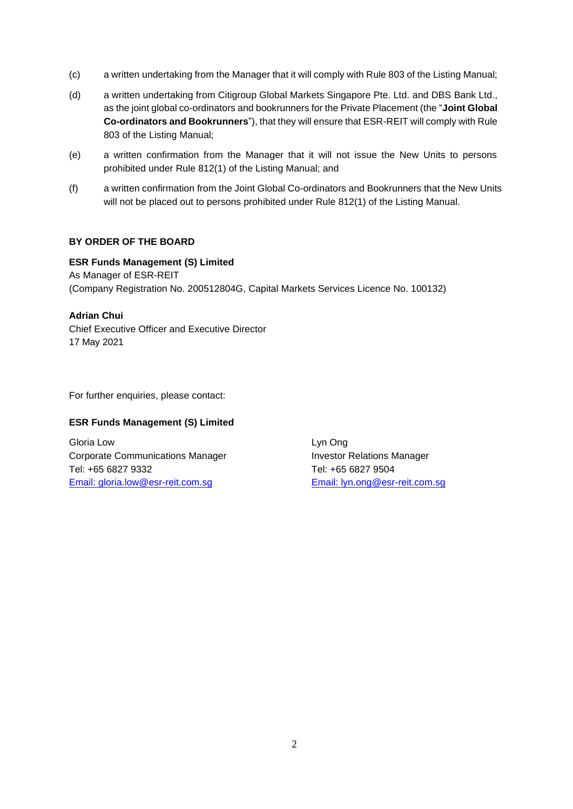- (c) a written undertaking from the Manager that it will comply with Rule 803 of the Listing Manual;
- (d) a written undertaking from Citigroup Global Markets Singapore Pte. Ltd. and DBS Bank Ltd., as the joint global co-ordinators and bookrunners for the Private Placement (the "**Joint Global Co-ordinators and Bookrunners**"), that they will ensure that ESR-REIT will comply with Rule 803 of the Listing Manual;
- (e) a written confirmation from the Manager that it will not issue the New Units to persons prohibited under Rule 812(1) of the Listing Manual; and
- (f) a written confirmation from the Joint Global Co-ordinators and Bookrunners that the New Units will not be placed out to persons prohibited under Rule 812(1) of the Listing Manual.

### **BY ORDER OF THE BOARD**

**ESR Funds Management (S) Limited** As Manager of ESR-REIT (Company Registration No. 200512804G, Capital Markets Services Licence No. 100132)

### **Adrian Chui**

Chief Executive Officer and Executive Director 17 May 2021

For further enquiries, please contact:

#### **ESR Funds Management (S) Limited**

Gloria Low Lyn Ong Corporate Communications Manager **Investor Relations Manager** Investor Relations Manager Tel: +65 6827 9332 Tel: +65 6827 9504 [Email:](mailto:gloria.low@esr-reit.com.sg) gloria.low@esr-reit.com.sg [Email:](mailto:lyn.ong@esr-reit.com.sg) lyn.ong@esr-reit.com.sg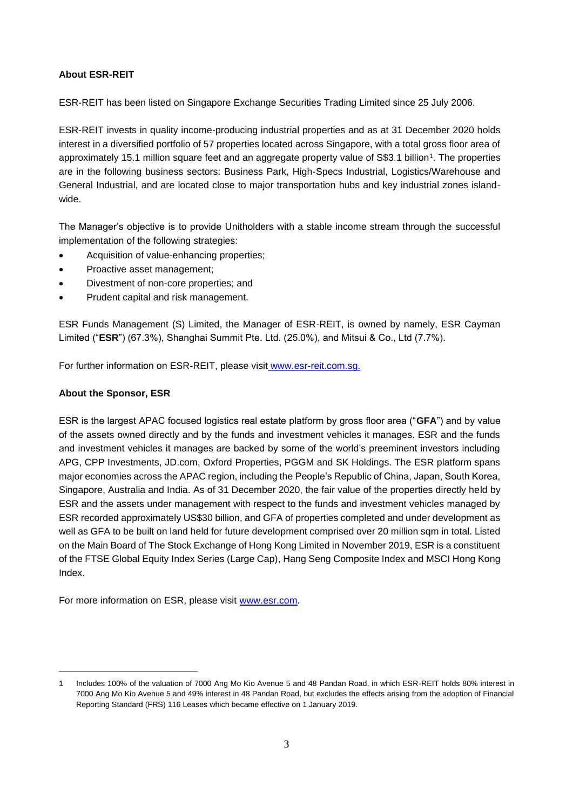### **About ESR-REIT**

ESR-REIT has been listed on Singapore Exchange Securities Trading Limited since 25 July 2006.

ESR-REIT invests in quality income-producing industrial properties and as at 31 December 2020 holds interest in a diversified portfolio of 57 properties located across Singapore, with a total gross floor area of approximately 15.1 million square feet and an aggregate property value of S\$3.1 billion<sup>1</sup>. The properties are in the following business sectors: Business Park, High-Specs Industrial, Logistics/Warehouse and General Industrial, and are located close to major transportation hubs and key industrial zones islandwide.

The Manager's objective is to provide Unitholders with a stable income stream through the successful implementation of the following strategies:

- Acquisition of value-enhancing properties;
- Proactive asset management;
- Divestment of non-core properties; and
- Prudent capital and risk management.

ESR Funds Management (S) Limited, the Manager of ESR-REIT, is owned by namely, ESR Cayman Limited ("**ESR**") (67.3%), Shanghai Summit Pte. Ltd. (25.0%), and Mitsui & Co., Ltd (7.7%).

For further information on ESR-REIT, please visit [www.esr-reit.com.sg.](http://www.esr-reit.com.sg/)

### **About the Sponsor, ESR**

ESR is the largest APAC focused logistics real estate platform by gross floor area ("**GFA**") and by value of the assets owned directly and by the funds and investment vehicles it manages. ESR and the funds and investment vehicles it manages are backed by some of the world's preeminent investors including APG, CPP Investments, JD.com, Oxford Properties, PGGM and SK Holdings. The ESR platform spans major economies across the APAC region, including the People's Republic of China, Japan, South Korea, Singapore, Australia and India. As of 31 December 2020, the fair value of the properties directly held by ESR and the assets under management with respect to the funds and investment vehicles managed by ESR recorded approximately US\$30 billion, and GFA of properties completed and under development as well as GFA to be built on land held for future development comprised over 20 million sqm in total. Listed on the Main Board of The Stock Exchange of Hong Kong Limited in November 2019, ESR is a constituent of the FTSE Global Equity Index Series (Large Cap), Hang Seng Composite Index and MSCI Hong Kong Index.

For more information on ESR, please visit [www.esr.com.](http://www.esr.com/)

<sup>1</sup> Includes 100% of the valuation of 7000 Ang Mo Kio Avenue 5 and 48 Pandan Road, in which ESR-REIT holds 80% interest in 7000 Ang Mo Kio Avenue 5 and 49% interest in 48 Pandan Road, but excludes the effects arising from the adoption of Financial Reporting Standard (FRS) 116 Leases which became effective on 1 January 2019.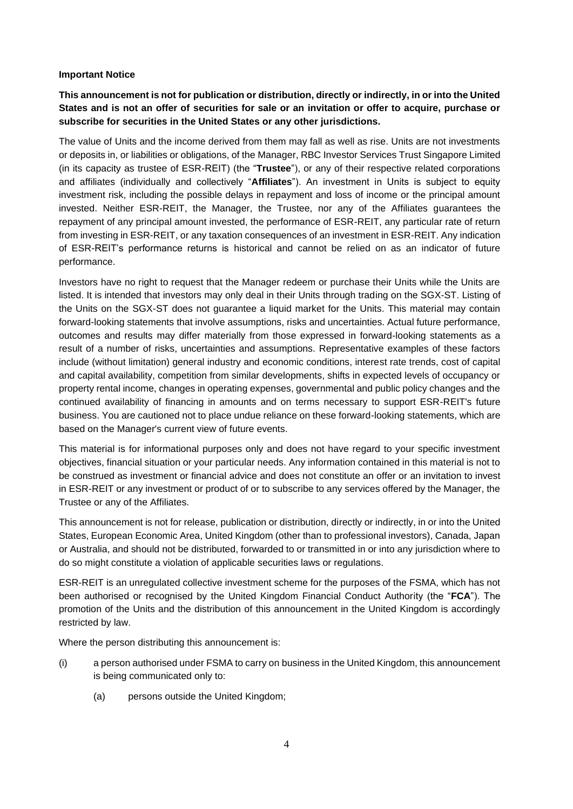### **Important Notice**

# **This announcement is not for publication or distribution, directly or indirectly, in or into the United States and is not an offer of securities for sale or an invitation or offer to acquire, purchase or subscribe for securities in the United States or any other jurisdictions.**

The value of Units and the income derived from them may fall as well as rise. Units are not investments or deposits in, or liabilities or obligations, of the Manager, RBC Investor Services Trust Singapore Limited (in its capacity as trustee of ESR-REIT) (the "**Trustee**"), or any of their respective related corporations and affiliates (individually and collectively "**Affiliates**"). An investment in Units is subject to equity investment risk, including the possible delays in repayment and loss of income or the principal amount invested. Neither ESR-REIT, the Manager, the Trustee, nor any of the Affiliates guarantees the repayment of any principal amount invested, the performance of ESR-REIT, any particular rate of return from investing in ESR-REIT, or any taxation consequences of an investment in ESR-REIT. Any indication of ESR-REIT's performance returns is historical and cannot be relied on as an indicator of future performance.

Investors have no right to request that the Manager redeem or purchase their Units while the Units are listed. It is intended that investors may only deal in their Units through trading on the SGX-ST. Listing of the Units on the SGX-ST does not guarantee a liquid market for the Units. This material may contain forward-looking statements that involve assumptions, risks and uncertainties. Actual future performance, outcomes and results may differ materially from those expressed in forward-looking statements as a result of a number of risks, uncertainties and assumptions. Representative examples of these factors include (without limitation) general industry and economic conditions, interest rate trends, cost of capital and capital availability, competition from similar developments, shifts in expected levels of occupancy or property rental income, changes in operating expenses, governmental and public policy changes and the continued availability of financing in amounts and on terms necessary to support ESR-REIT's future business. You are cautioned not to place undue reliance on these forward-looking statements, which are based on the Manager's current view of future events.

This material is for informational purposes only and does not have regard to your specific investment objectives, financial situation or your particular needs. Any information contained in this material is not to be construed as investment or financial advice and does not constitute an offer or an invitation to invest in ESR-REIT or any investment or product of or to subscribe to any services offered by the Manager, the Trustee or any of the Affiliates.

This announcement is not for release, publication or distribution, directly or indirectly, in or into the United States, European Economic Area, United Kingdom (other than to professional investors), Canada, Japan or Australia, and should not be distributed, forwarded to or transmitted in or into any jurisdiction where to do so might constitute a violation of applicable securities laws or regulations.

ESR-REIT is an unregulated collective investment scheme for the purposes of the FSMA, which has not been authorised or recognised by the United Kingdom Financial Conduct Authority (the "**FCA**"). The promotion of the Units and the distribution of this announcement in the United Kingdom is accordingly restricted by law.

Where the person distributing this announcement is:

- (i) a person authorised under FSMA to carry on business in the United Kingdom, this announcement is being communicated only to:
	- (a) persons outside the United Kingdom;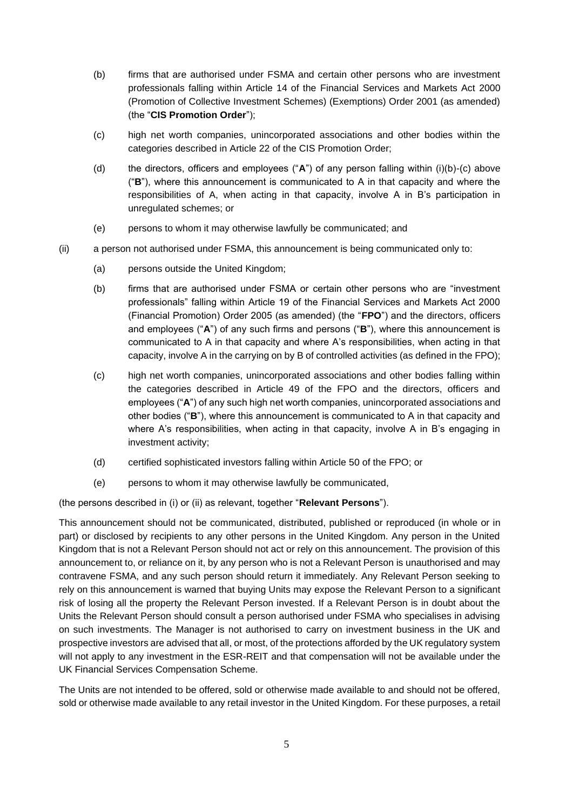- (b) firms that are authorised under FSMA and certain other persons who are investment professionals falling within Article 14 of the Financial Services and Markets Act 2000 (Promotion of Collective Investment Schemes) (Exemptions) Order 2001 (as amended) (the "**CIS Promotion Order**");
- (c) high net worth companies, unincorporated associations and other bodies within the categories described in Article 22 of the CIS Promotion Order;
- (d) the directors, officers and employees ("**A**") of any person falling within (i)(b)-(c) above ("**B**"), where this announcement is communicated to A in that capacity and where the responsibilities of A, when acting in that capacity, involve A in B's participation in unregulated schemes; or
- (e) persons to whom it may otherwise lawfully be communicated; and
- (ii) a person not authorised under FSMA, this announcement is being communicated only to:
	- (a) persons outside the United Kingdom;
	- (b) firms that are authorised under FSMA or certain other persons who are "investment professionals" falling within Article 19 of the Financial Services and Markets Act 2000 (Financial Promotion) Order 2005 (as amended) (the "**FPO**") and the directors, officers and employees ("**A**") of any such firms and persons ("**B**"), where this announcement is communicated to A in that capacity and where A's responsibilities, when acting in that capacity, involve A in the carrying on by B of controlled activities (as defined in the FPO);
	- (c) high net worth companies, unincorporated associations and other bodies falling within the categories described in Article 49 of the FPO and the directors, officers and employees ("**A**") of any such high net worth companies, unincorporated associations and other bodies ("**B**"), where this announcement is communicated to A in that capacity and where A's responsibilities, when acting in that capacity, involve A in B's engaging in investment activity;
	- (d) certified sophisticated investors falling within Article 50 of the FPO; or
	- (e) persons to whom it may otherwise lawfully be communicated,

(the persons described in (i) or (ii) as relevant, together "**Relevant Persons**").

This announcement should not be communicated, distributed, published or reproduced (in whole or in part) or disclosed by recipients to any other persons in the United Kingdom. Any person in the United Kingdom that is not a Relevant Person should not act or rely on this announcement. The provision of this announcement to, or reliance on it, by any person who is not a Relevant Person is unauthorised and may contravene FSMA, and any such person should return it immediately. Any Relevant Person seeking to rely on this announcement is warned that buying Units may expose the Relevant Person to a significant risk of losing all the property the Relevant Person invested. If a Relevant Person is in doubt about the Units the Relevant Person should consult a person authorised under FSMA who specialises in advising on such investments. The Manager is not authorised to carry on investment business in the UK and prospective investors are advised that all, or most, of the protections afforded by the UK regulatory system will not apply to any investment in the ESR-REIT and that compensation will not be available under the UK Financial Services Compensation Scheme.

The Units are not intended to be offered, sold or otherwise made available to and should not be offered, sold or otherwise made available to any retail investor in the United Kingdom. For these purposes, a retail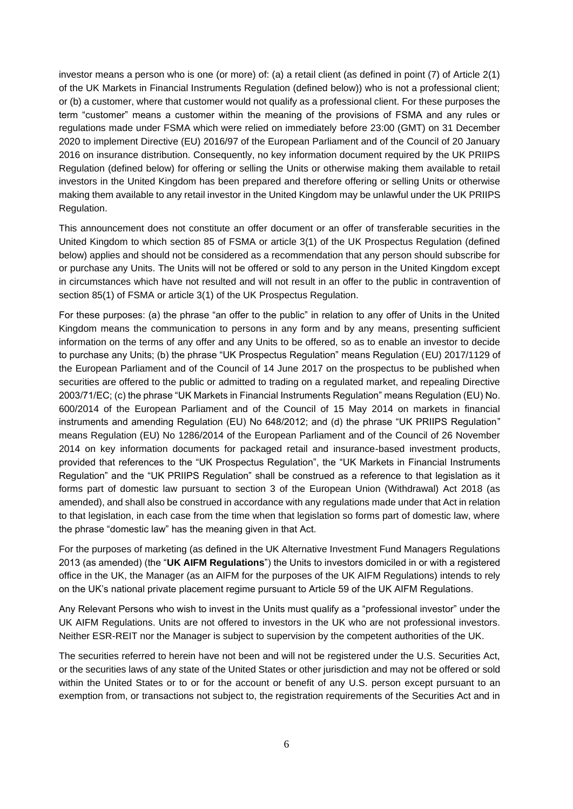investor means a person who is one (or more) of: (a) a retail client (as defined in point (7) of Article 2(1) of the UK Markets in Financial Instruments Regulation (defined below)) who is not a professional client; or (b) a customer, where that customer would not qualify as a professional client. For these purposes the term "customer" means a customer within the meaning of the provisions of FSMA and any rules or regulations made under FSMA which were relied on immediately before 23:00 (GMT) on 31 December 2020 to implement Directive (EU) 2016/97 of the European Parliament and of the Council of 20 January 2016 on insurance distribution. Consequently, no key information document required by the UK PRIIPS Regulation (defined below) for offering or selling the Units or otherwise making them available to retail investors in the United Kingdom has been prepared and therefore offering or selling Units or otherwise making them available to any retail investor in the United Kingdom may be unlawful under the UK PRIIPS Regulation.

This announcement does not constitute an offer document or an offer of transferable securities in the United Kingdom to which section 85 of FSMA or article 3(1) of the UK Prospectus Regulation (defined below) applies and should not be considered as a recommendation that any person should subscribe for or purchase any Units. The Units will not be offered or sold to any person in the United Kingdom except in circumstances which have not resulted and will not result in an offer to the public in contravention of section 85(1) of FSMA or article 3(1) of the UK Prospectus Regulation.

For these purposes: (a) the phrase "an offer to the public" in relation to any offer of Units in the United Kingdom means the communication to persons in any form and by any means, presenting sufficient information on the terms of any offer and any Units to be offered, so as to enable an investor to decide to purchase any Units; (b) the phrase "UK Prospectus Regulation" means Regulation (EU) 2017/1129 of the European Parliament and of the Council of 14 June 2017 on the prospectus to be published when securities are offered to the public or admitted to trading on a regulated market, and repealing Directive 2003/71/EC; (c) the phrase "UK Markets in Financial Instruments Regulation" means Regulation (EU) No. 600/2014 of the European Parliament and of the Council of 15 May 2014 on markets in financial instruments and amending Regulation (EU) No 648/2012; and (d) the phrase "UK PRIIPS Regulation" means Regulation (EU) No 1286/2014 of the European Parliament and of the Council of 26 November 2014 on key information documents for packaged retail and insurance-based investment products, provided that references to the "UK Prospectus Regulation", the "UK Markets in Financial Instruments Regulation" and the "UK PRIIPS Regulation" shall be construed as a reference to that legislation as it forms part of domestic law pursuant to section 3 of the European Union (Withdrawal) Act 2018 (as amended), and shall also be construed in accordance with any regulations made under that Act in relation to that legislation, in each case from the time when that legislation so forms part of domestic law, where the phrase "domestic law" has the meaning given in that Act.

For the purposes of marketing (as defined in the UK Alternative Investment Fund Managers Regulations 2013 (as amended) (the "**UK AIFM Regulations**") the Units to investors domiciled in or with a registered office in the UK, the Manager (as an AIFM for the purposes of the UK AIFM Regulations) intends to rely on the UK's national private placement regime pursuant to Article 59 of the UK AIFM Regulations.

Any Relevant Persons who wish to invest in the Units must qualify as a "professional investor" under the UK AIFM Regulations. Units are not offered to investors in the UK who are not professional investors. Neither ESR-REIT nor the Manager is subject to supervision by the competent authorities of the UK.

The securities referred to herein have not been and will not be registered under the U.S. Securities Act, or the securities laws of any state of the United States or other jurisdiction and may not be offered or sold within the United States or to or for the account or benefit of any U.S. person except pursuant to an exemption from, or transactions not subject to, the registration requirements of the Securities Act and in